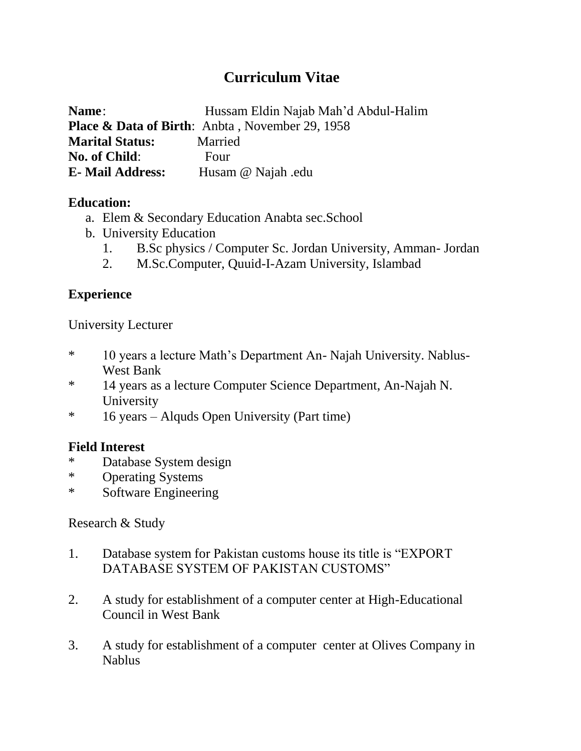# **Curriculum Vitae**

| Name:                    | Hussam Eldin Najab Mah'd Abdul-Halim                       |
|--------------------------|------------------------------------------------------------|
|                          | <b>Place &amp; Data of Birth:</b> Anbta, November 29, 1958 |
| <b>Marital Status:</b>   | Married                                                    |
| No. of Child:            | Four                                                       |
| <b>E</b> - Mail Address: | Husam @ Najah .edu                                         |

## **Education:**

- a. Elem & Secondary Education Anabta sec.School
- b. University Education
	- 1. B.Sc physics / Computer Sc. Jordan University, Amman- Jordan
	- 2. M.Sc.Computer, Quuid-I-Azam University, Islambad

# **Experience**

University Lecturer

- \* 10 years a lecture Math's Department An- Najah University. Nablus-West Bank
- \* 14 years as a lecture Computer Science Department, An-Najah N. University
- \* 16 years Alquds Open University (Part time)

## **Field Interest**

- \* Database System design
- \* Operating Systems
- \* Software Engineering

#### Research & Study

- 1. Database system for Pakistan customs house its title is "EXPORT DATABASE SYSTEM OF PAKISTAN CUSTOMS"
- 2. A study for establishment of a computer center at High-Educational Council in West Bank
- 3. A study for establishment of a computer center at Olives Company in Nablus